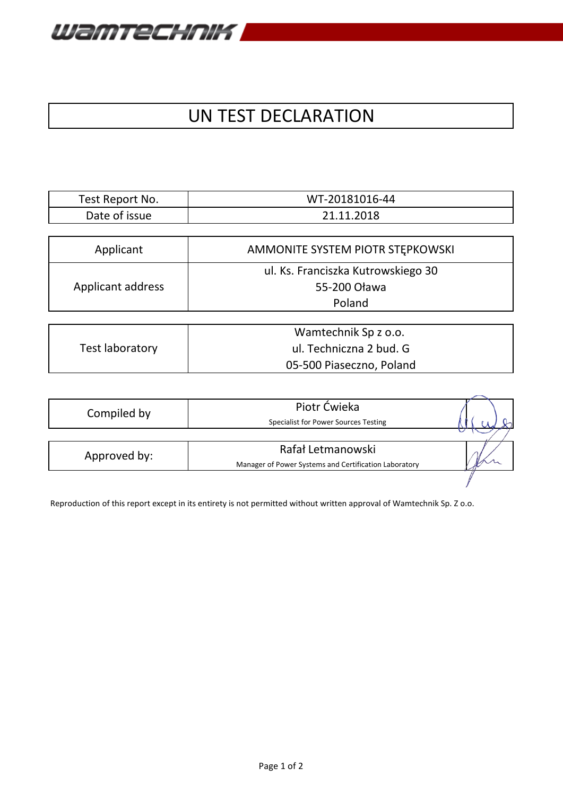

## UN TEST DECLARATION

| Test Report No. | WT-20181016-44 |
|-----------------|----------------|
| Date of issue   | 21.11.2018     |

| Applicant         | AMMONITE SYSTEM PIOTR STEPKOWSKI   |
|-------------------|------------------------------------|
| Applicant address | ul. Ks. Franciszka Kutrowskiego 30 |
|                   | 55-200 Oława                       |
|                   | Poland                             |
|                   |                                    |
| Tortlaharstoni    | Wamtechnik Sp z o.o.               |
|                   | $\overline{a}$ Toobnic reader lub  |

| Test laboratory | ul. Techniczna 2 bud. G  |  |  |
|-----------------|--------------------------|--|--|
|                 | 05-500 Piaseczno, Poland |  |  |
|                 |                          |  |  |

| Compiled by  | Piotr Ćwieka<br>Specialist for Power Sources Testing  |  |
|--------------|-------------------------------------------------------|--|
|              |                                                       |  |
| Approved by: | Rafał Letmanowski                                     |  |
|              | Manager of Power Systems and Certification Laboratory |  |
|              |                                                       |  |

Reproduction of this report except in its entirety is not permitted without written approval of Wamtechnik Sp. Z o.o.